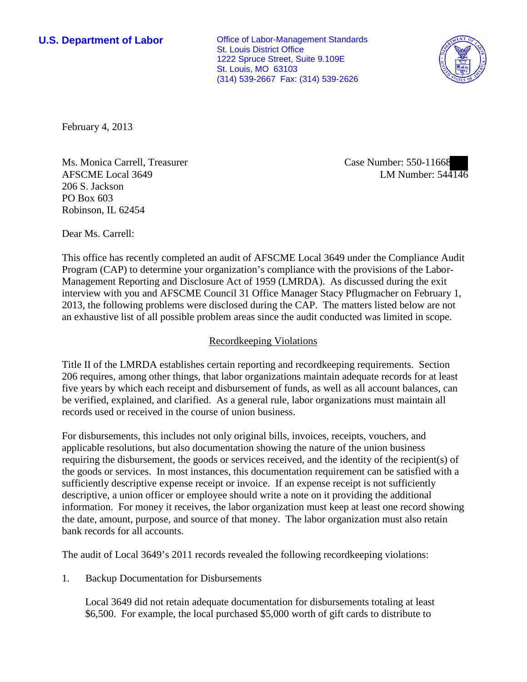**U.S. Department of Labor Office of Labor-Management Standards** St. Louis District Office 1222 Spruce Street, Suite 9.109E St. Louis, MO 63103 (314) 539-2667 Fax: (314) 539-2626



February 4, 2013

Ms. Monica Carrell, Treasurer AFSCME Local 3649 206 S. Jackson PO Box 603 Robinson, IL 62454

Dear Ms. Carrell:

This office has recently completed an audit of AFSCME Local 3649 under the Compliance Audit

Program (CAP) to determine your organization's compliance with the provisions of the Labor-Management Reporting and Disclosure Act of 1959 (LMRDA). As discussed during the exit interview with you and AFSCME Council 31 Office Manager Stacy Pflugmacher on February 1, 2013, the following problems were disclosed during the CAP. The matters listed below are not an exhaustive list of all possible problem areas since the audit conducted was limited in scope.

## Recordkeeping Violations

Title II of the LMRDA establishes certain reporting and recordkeeping requirements. Section 206 requires, among other things, that labor organizations maintain adequate records for at least five years by which each receipt and disbursement of funds, as well as all account balances, can be verified, explained, and clarified. As a general rule, labor organizations must maintain all records used or received in the course of union business.

For disbursements, this includes not only original bills, invoices, receipts, vouchers, and applicable resolutions, but also documentation showing the nature of the union business requiring the disbursement, the goods or services received, and the identity of the recipient(s) of the goods or services. In most instances, this documentation requirement can be satisfied with a sufficiently descriptive expense receipt or invoice. If an expense receipt is not sufficiently descriptive, a union officer or employee should write a note on it providing the additional information. For money it receives, the labor organization must keep at least one record showing the date, amount, purpose, and source of that money. The labor organization must also retain bank records for all accounts.

The audit of Local 3649's 2011 records revealed the following recordkeeping violations:

1. Backup Documentation for Disbursements

Local 3649 did not retain adequate documentation for disbursements totaling at least \$6,500. For example, the local purchased \$5,000 worth of gift cards to distribute to

Case Number: 550-11668 LM Number: 544146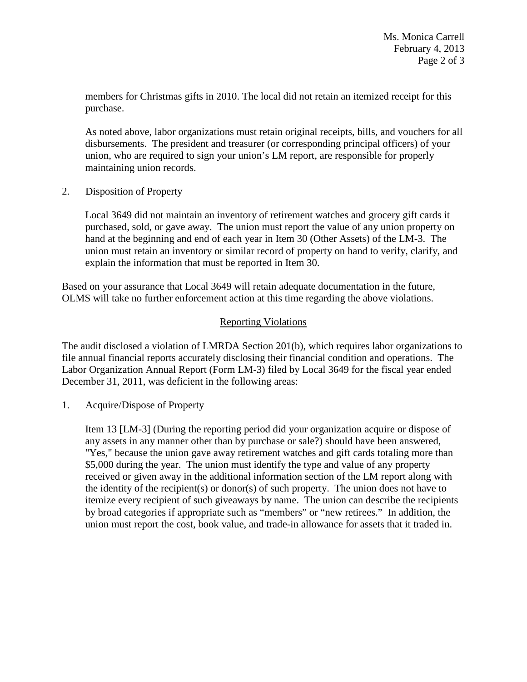members for Christmas gifts in 2010. The local did not retain an itemized receipt for this purchase.

As noted above, labor organizations must retain original receipts, bills, and vouchers for all disbursements. The president and treasurer (or corresponding principal officers) of your union, who are required to sign your union's LM report, are responsible for properly maintaining union records.

2. Disposition of Property

Local 3649 did not maintain an inventory of retirement watches and grocery gift cards it purchased, sold, or gave away. The union must report the value of any union property on hand at the beginning and end of each year in Item 30 (Other Assets) of the LM-3. The union must retain an inventory or similar record of property on hand to verify, clarify, and explain the information that must be reported in Item 30.

Based on your assurance that Local 3649 will retain adequate documentation in the future, OLMS will take no further enforcement action at this time regarding the above violations.

## Reporting Violations

The audit disclosed a violation of LMRDA Section 201(b), which requires labor organizations to file annual financial reports accurately disclosing their financial condition and operations. The Labor Organization Annual Report (Form LM-3) filed by Local 3649 for the fiscal year ended December 31, 2011, was deficient in the following areas:

1. Acquire/Dispose of Property

Item 13 [LM-3] (During the reporting period did your organization acquire or dispose of any assets in any manner other than by purchase or sale?) should have been answered, "Yes," because the union gave away retirement watches and gift cards totaling more than \$5,000 during the year. The union must identify the type and value of any property received or given away in the additional information section of the LM report along with the identity of the recipient(s) or donor(s) of such property. The union does not have to itemize every recipient of such giveaways by name. The union can describe the recipients by broad categories if appropriate such as "members" or "new retirees." In addition, the union must report the cost, book value, and trade-in allowance for assets that it traded in.